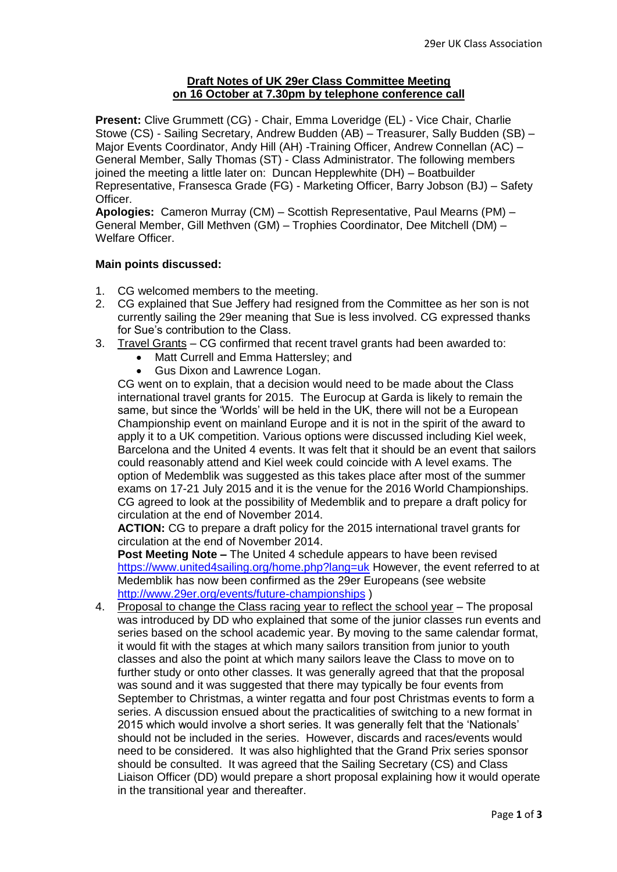## **Draft Notes of UK 29er Class Committee Meeting on 16 October at 7.30pm by telephone conference call**

**Present:** Clive Grummett (CG) - Chair, Emma Loveridge (EL) - Vice Chair, Charlie Stowe (CS) - Sailing Secretary, Andrew Budden (AB) – Treasurer, Sally Budden (SB) – Major Events Coordinator, Andy Hill (AH) -Training Officer, Andrew Connellan (AC) – General Member, Sally Thomas (ST) - Class Administrator. The following members joined the meeting a little later on: Duncan Hepplewhite (DH) – Boatbuilder Representative, Fransesca Grade (FG) - Marketing Officer, Barry Jobson (BJ) – Safety Officer.

**Apologies:** Cameron Murray (CM) – Scottish Representative, Paul Mearns (PM) – General Member, Gill Methven (GM) – Trophies Coordinator, Dee Mitchell (DM) – Welfare Officer.

## **Main points discussed:**

- 1. CG welcomed members to the meeting.
- 2. CG explained that Sue Jeffery had resigned from the Committee as her son is not currently sailing the 29er meaning that Sue is less involved. CG expressed thanks for Sue's contribution to the Class.
- 3. Travel Grants CG confirmed that recent travel grants had been awarded to:
	- Matt Currell and Emma Hattersley; and
		- Gus Dixon and Lawrence Logan.

CG went on to explain, that a decision would need to be made about the Class international travel grants for 2015. The Eurocup at Garda is likely to remain the same, but since the 'Worlds' will be held in the UK, there will not be a European Championship event on mainland Europe and it is not in the spirit of the award to apply it to a UK competition. Various options were discussed including Kiel week, Barcelona and the United 4 events. It was felt that it should be an event that sailors could reasonably attend and Kiel week could coincide with A level exams. The option of Medemblik was suggested as this takes place after most of the summer exams on 17-21 July 2015 and it is the venue for the 2016 World Championships. CG agreed to look at the possibility of Medemblik and to prepare a draft policy for circulation at the end of November 2014.

**ACTION:** CG to prepare a draft policy for the 2015 international travel grants for circulation at the end of November 2014.

**Post Meeting Note –** The United 4 schedule appears to have been revised <https://www.united4sailing.org/home.php?lang=uk> However, the event referred to at Medemblik has now been confirmed as the 29er Europeans (see website <http://www.29er.org/events/future-championships> )

4. Proposal to change the Class racing year to reflect the school year – The proposal was introduced by DD who explained that some of the junior classes run events and series based on the school academic year. By moving to the same calendar format, it would fit with the stages at which many sailors transition from junior to youth classes and also the point at which many sailors leave the Class to move on to further study or onto other classes. It was generally agreed that that the proposal was sound and it was suggested that there may typically be four events from September to Christmas, a winter regatta and four post Christmas events to form a series. A discussion ensued about the practicalities of switching to a new format in 2015 which would involve a short series. It was generally felt that the 'Nationals' should not be included in the series. However, discards and races/events would need to be considered. It was also highlighted that the Grand Prix series sponsor should be consulted. It was agreed that the Sailing Secretary (CS) and Class Liaison Officer (DD) would prepare a short proposal explaining how it would operate in the transitional year and thereafter.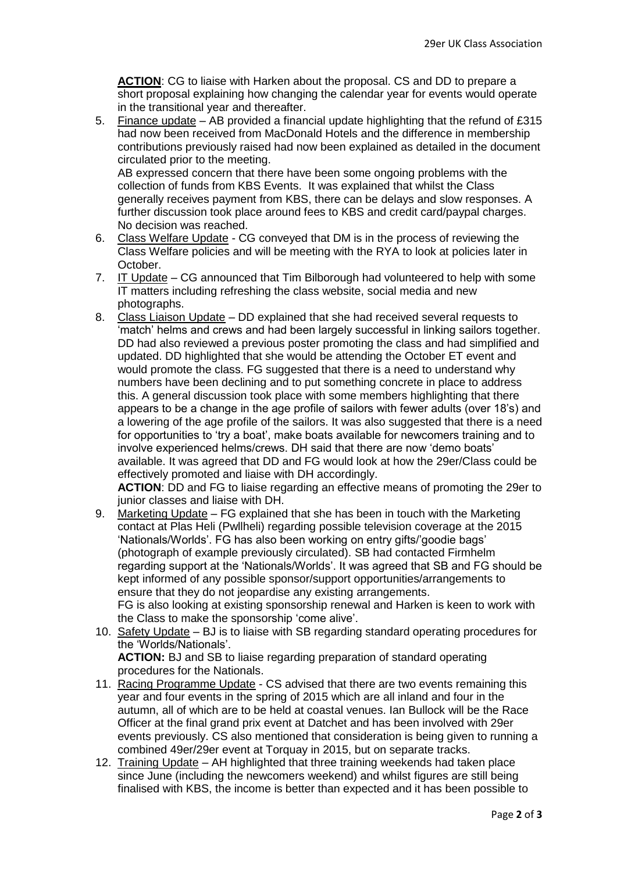**ACTION**: CG to liaise with Harken about the proposal. CS and DD to prepare a short proposal explaining how changing the calendar year for events would operate in the transitional year and thereafter.

5. Finance update – AB provided a financial update highlighting that the refund of £315 had now been received from MacDonald Hotels and the difference in membership contributions previously raised had now been explained as detailed in the document circulated prior to the meeting. AB expressed concern that there have been some ongoing problems with the

collection of funds from KBS Events. It was explained that whilst the Class generally receives payment from KBS, there can be delays and slow responses. A further discussion took place around fees to KBS and credit card/paypal charges. No decision was reached.

- 6. Class Welfare Update CG conveyed that DM is in the process of reviewing the Class Welfare policies and will be meeting with the RYA to look at policies later in October.
- 7. IT Update CG announced that Tim Bilborough had volunteered to help with some IT matters including refreshing the class website, social media and new photographs.
- 8. Class Liaison Update DD explained that she had received several requests to 'match' helms and crews and had been largely successful in linking sailors together. DD had also reviewed a previous poster promoting the class and had simplified and updated. DD highlighted that she would be attending the October ET event and would promote the class. FG suggested that there is a need to understand why numbers have been declining and to put something concrete in place to address this. A general discussion took place with some members highlighting that there appears to be a change in the age profile of sailors with fewer adults (over 18's) and a lowering of the age profile of the sailors. It was also suggested that there is a need for opportunities to 'try a boat', make boats available for newcomers training and to involve experienced helms/crews. DH said that there are now 'demo boats' available. It was agreed that DD and FG would look at how the 29er/Class could be effectively promoted and liaise with DH accordingly.

**ACTION**: DD and FG to liaise regarding an effective means of promoting the 29er to junior classes and liaise with DH.

- 9. Marketing Update FG explained that she has been in touch with the Marketing contact at Plas Heli (Pwllheli) regarding possible television coverage at the 2015 'Nationals/Worlds'. FG has also been working on entry gifts/'goodie bags' (photograph of example previously circulated). SB had contacted Firmhelm regarding support at the 'Nationals/Worlds'. It was agreed that SB and FG should be kept informed of any possible sponsor/support opportunities/arrangements to ensure that they do not jeopardise any existing arrangements. FG is also looking at existing sponsorship renewal and Harken is keen to work with the Class to make the sponsorship 'come alive'.
- 10. Safety Update BJ is to liaise with SB regarding standard operating procedures for the 'Worlds/Nationals'. **ACTION:** BJ and SB to liaise regarding preparation of standard operating
- procedures for the Nationals. 11. Racing Programme Update - CS advised that there are two events remaining this year and four events in the spring of 2015 which are all inland and four in the autumn, all of which are to be held at coastal venues. Ian Bullock will be the Race Officer at the final grand prix event at Datchet and has been involved with 29er events previously. CS also mentioned that consideration is being given to running a combined 49er/29er event at Torquay in 2015, but on separate tracks.
- 12. Training Update AH highlighted that three training weekends had taken place since June (including the newcomers weekend) and whilst figures are still being finalised with KBS, the income is better than expected and it has been possible to